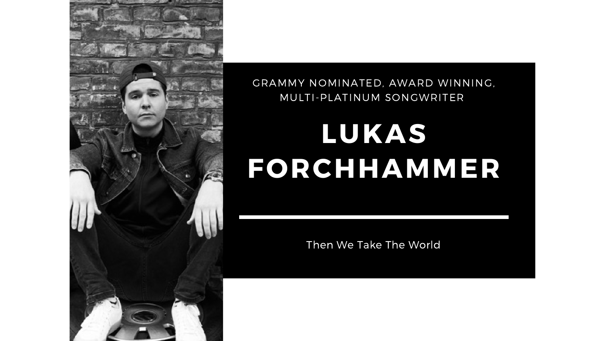# **LUKAS FORCHHAMMER**

Then We Take The World



# GRAMMY NOMINATED, AWARD WINNING, MULTI-PLATINUM SONGWRITER